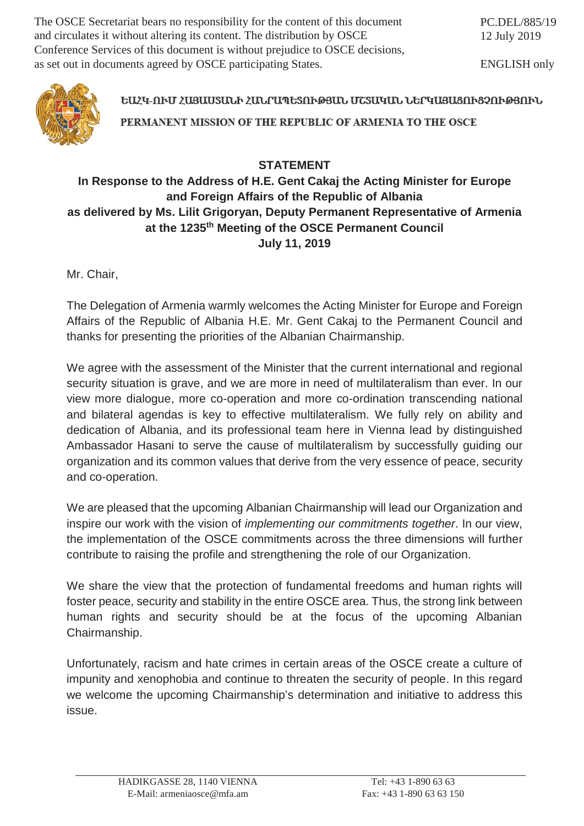The OSCE Secretariat bears no responsibility for the content of this document and circulates it without altering its content. The distribution by OSCE Conference Services of this document is without prejudice to OSCE decisions, as set out in documents agreed by OSCE participating States.

ENGLISH only



ԵԱՀԿ-ՈՒՄ ՀԱՑԱՍՏԱՆԻ ՀԱՆՐԱՊԵՏՈՒԹՅԱՆ ՄՇՏԱԿԱՆ ՆԵՐԿԱՅԱՑՈՒՑՉՈՒԹՅՈՒՆ PERMANENT MISSION OF THE REPUBLIC OF ARMENIA TO THE OSCE

## **STATEMENT**

## **In Response to the Address of H.E. Gent Cakaj the Acting Minister for Europe and Foreign Affairs of the Republic of Albania as delivered by Ms. Lilit Grigoryan, Deputy Permanent Representative of Armenia at the 1235th Meeting of the OSCE Permanent Council July 11, 2019**

Mr. Chair,

The Delegation of Armenia warmly welcomes the Acting Minister for Europe and Foreign Affairs of the Republic of Albania H.E. Mr. Gent Cakaj to the Permanent Council and thanks for presenting the priorities of the Albanian Chairmanship.

We agree with the assessment of the Minister that the current international and regional security situation is grave, and we are more in need of multilateralism than ever. In our view more dialogue, more co-operation and more co-ordination transcending national and bilateral agendas is key to effective multilateralism. We fully rely on ability and dedication of Albania, and its professional team here in Vienna lead by distinguished Ambassador Hasani to serve the cause of multilateralism by successfully guiding our organization and its common values that derive from the very essence of peace, security and co-operation.

We are pleased that the upcoming Albanian Chairmanship will lead our Organization and inspire our work with the vision of *implementing our commitments together*. In our view, the implementation of the OSCE commitments across the three dimensions will further contribute to raising the profile and strengthening the role of our Organization.

We share the view that the protection of fundamental freedoms and human rights will foster peace, security and stability in the entire OSCE area. Thus, the strong link between human rights and security should be at the focus of the upcoming Albanian Chairmanship.

Unfortunately, racism and hate crimes in certain areas of the OSCE create a culture of impunity and xenophobia and continue to threaten the security of people. In this regard we welcome the upcoming Chairmanship's determination and initiative to address this issue.